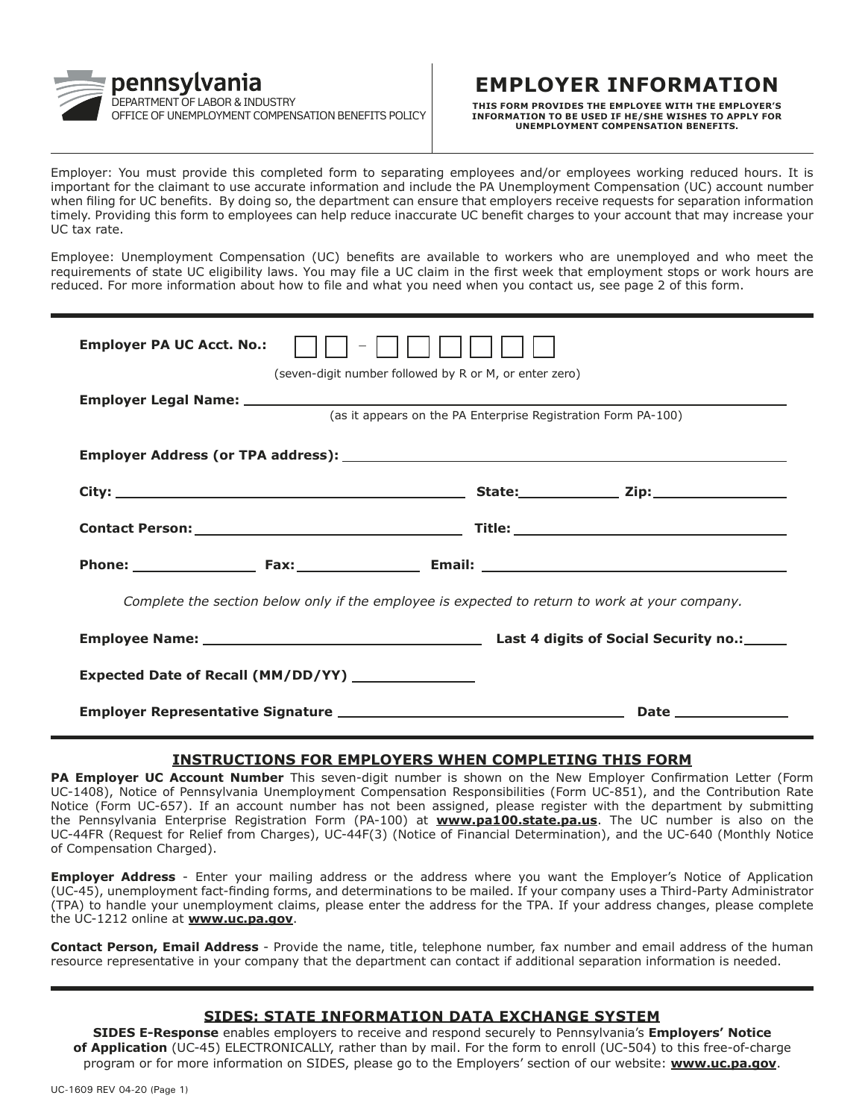

# EMPLOYER INFORMATION

THIS FORM PROVIDES THE EMPLOYEE WITH THE EMPLOYER'S INFORMATION TO BE USED IF HE/SHE WISHES TO APPLY FOR UNEMPLOYMENT COMPENSATION BENEFITS.

Employer: You must provide this completed form to separating employees and/or employees working reduced hours. It is important for the claimant to use accurate information and include the PA Unemployment Compensation (UC) account number when filing for UC benefits. By doing so, the department can ensure that employers receive requests for separation information timely. Providing this form to employees can help reduce inaccurate UC benefit charges to your account that may increase your UC tax rate.

Employee: Unemployment Compensation (UC) benefits are available to workers who are unemployed and who meet the requirements of state UC eligibility laws. You may file a UC claim in the first week that employment stops or work hours are reduced. For more information about how to file and what you need when you contact us, see page 2 of this form.

| <b>Employer PA UC Acct. No.:</b>                                                               |  | (seven-digit number followed by R or M, or enter zero)        |
|------------------------------------------------------------------------------------------------|--|---------------------------------------------------------------|
|                                                                                                |  | (as it appears on the PA Enterprise Registration Form PA-100) |
|                                                                                                |  |                                                               |
|                                                                                                |  |                                                               |
|                                                                                                |  |                                                               |
|                                                                                                |  |                                                               |
| Complete the section below only if the employee is expected to return to work at your company. |  |                                                               |
|                                                                                                |  |                                                               |
| Expected Date of Recall (MM/DD/YY) _______________                                             |  |                                                               |
|                                                                                                |  | Date ______________                                           |

#### INSTRUCTIONS FOR EMPLOYERS WHEN COMPLETING THIS FORM

PA Employer UC Account Number This seven-digit number is shown on the New Employer Confirmation Letter (Form UC-1408), Notice of Pennsylvania Unemployment Compensation Responsibilities (Form UC-851), and the Contribution Rate Notice (Form UC-657). If an account number has not been assigned, please register with the department by submitting the Pennsylvania Enterprise Registration Form (PA-100) at **www.pa100.state.pa.us**. The UC number is also on the UC-44FR (Request for Relief from Charges), UC-44F(3) (Notice of Financial Determination), and the UC-640 (Monthly Notice of Compensation Charged).

**Employer Address** - Enter your mailing address or the address where you want the Employer's Notice of Application (UC-45), unemployment fact-finding forms, and determinations to be mailed. If your company uses a Third-Party Administrator (TPA) to handle your unemployment claims, please enter the address for the TPA. If your address changes, please complete the UC-1212 online at **www.uc.pa.gov**.

Contact Person, Email Address - Provide the name, title, telephone number, fax number and email address of the human resource representative in your company that the department can contact if additional separation information is needed.

#### SIDES: STATE INFORMATION DATA EXCHANGE SYSTEM

SIDES E-Response enables employers to receive and respond securely to Pennsylvania's Employers' Notice of Application (UC-45) ELECTRONICALLY, rather than by mail. For the form to enroll (UC-504) to this free-of-charge program or for more information on SIDES, please go to the Employers' section of our website: **www.uc.pa.gov**.